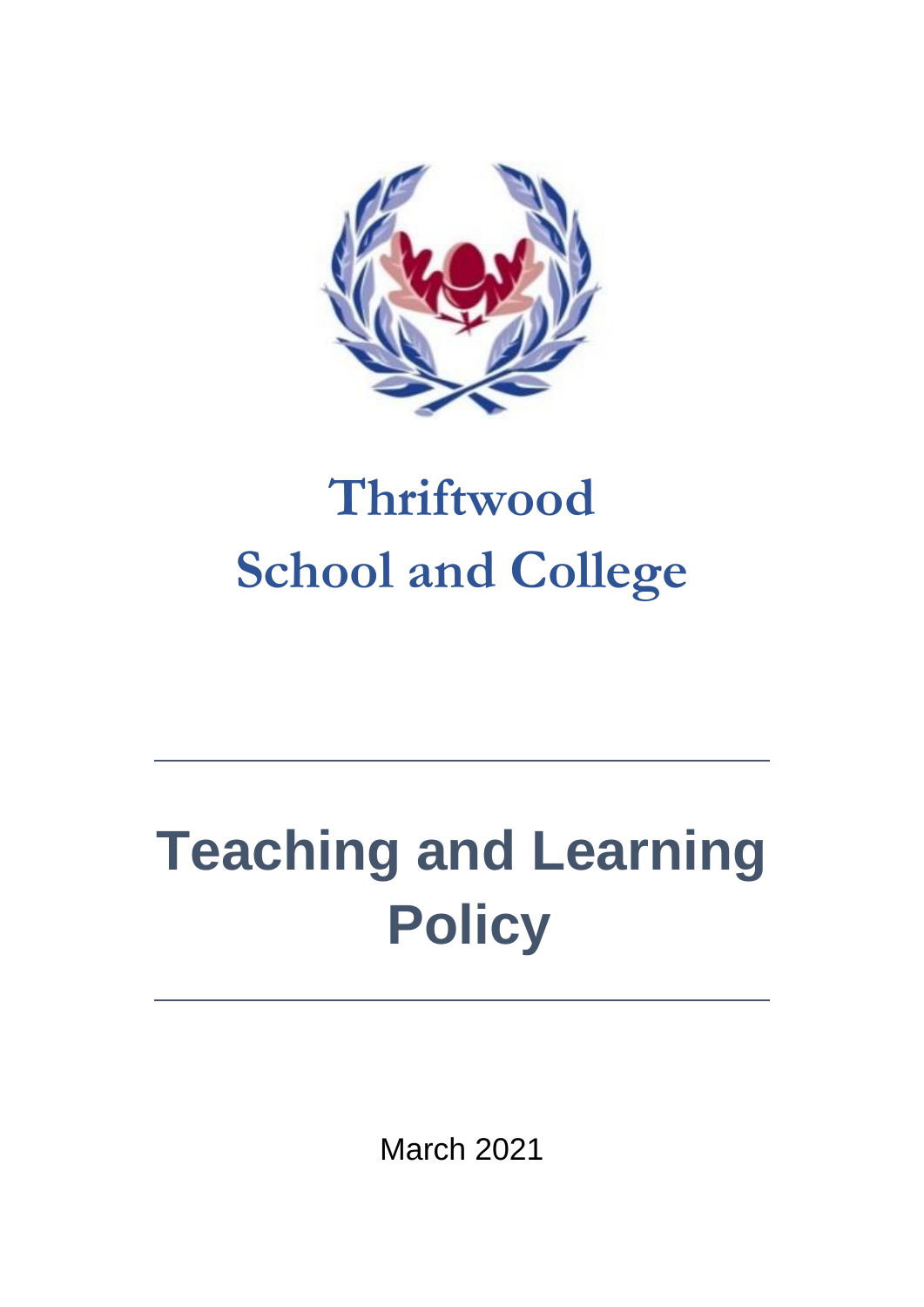

## **Thriftwood School and College**

# **Teaching and Learning Policy**

March 2021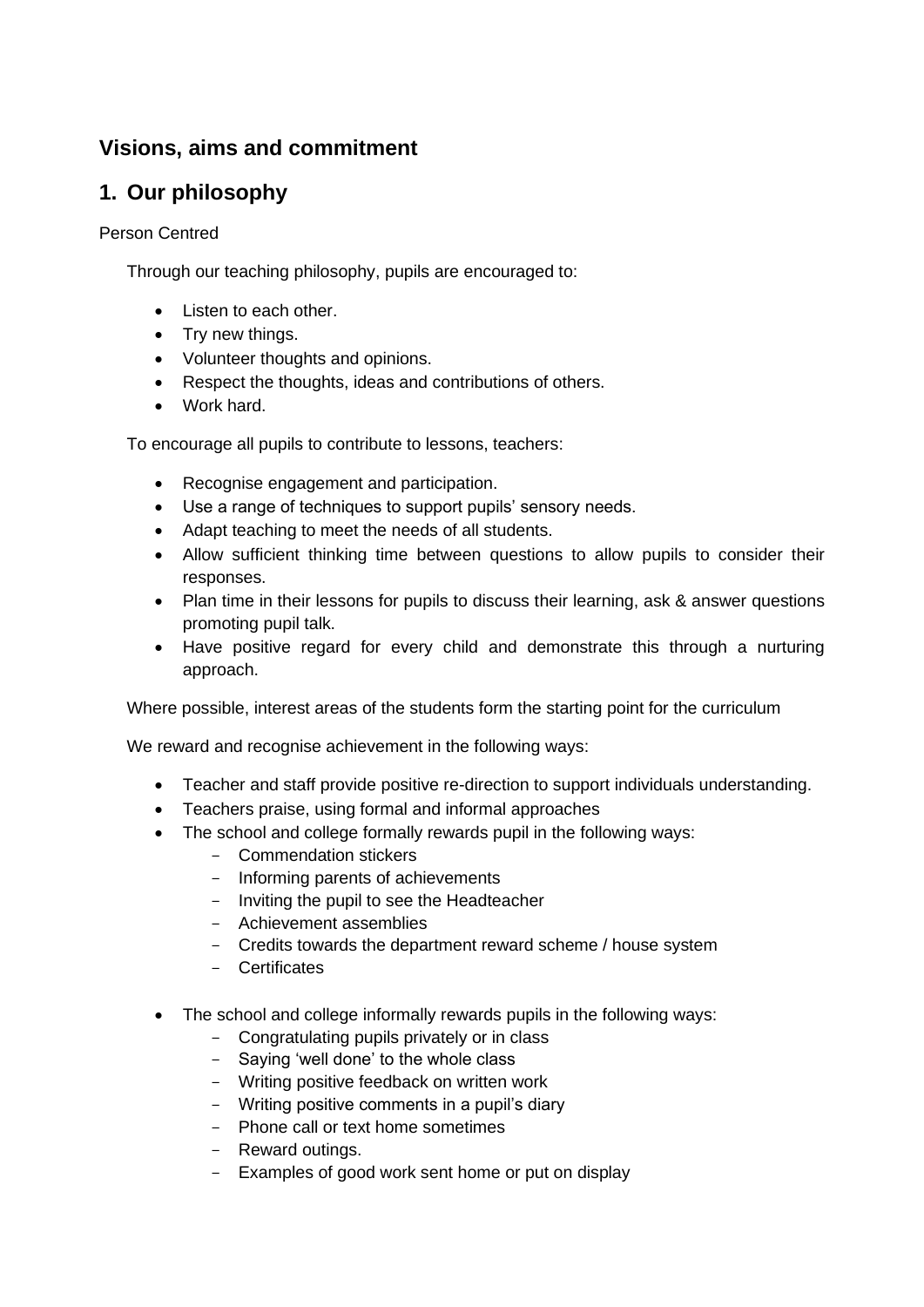### **Visions, aims and commitment**

### **1. Our philosophy**

#### Person Centred

Through our teaching philosophy, pupils are encouraged to:

- Listen to each other.
- Try new things.
- Volunteer thoughts and opinions.
- Respect the thoughts, ideas and contributions of others.
- Work hard.

To encourage all pupils to contribute to lessons, teachers:

- Recognise engagement and participation.
- Use a range of techniques to support pupils' sensory needs.
- Adapt teaching to meet the needs of all students.
- Allow sufficient thinking time between questions to allow pupils to consider their responses.
- Plan time in their lessons for pupils to discuss their learning, ask & answer questions promoting pupil talk.
- Have positive regard for every child and demonstrate this through a nurturing approach.

Where possible, interest areas of the students form the starting point for the curriculum

We reward and recognise achievement in the following ways:

- Teacher and staff provide positive re-direction to support individuals understanding.
- Teachers praise, using formal and informal approaches
- The school and college formally rewards pupil in the following ways:
	- Commendation stickers
	- Informing parents of achievements
	- Inviting the pupil to see the Headteacher
	- Achievement assemblies
	- Credits towards the department reward scheme / house system
	- Certificates
- The school and college informally rewards pupils in the following ways:
	- Congratulating pupils privately or in class
	- Saying 'well done' to the whole class
	- Writing positive feedback on written work
	- Writing positive comments in a pupil's diary
	- Phone call or text home sometimes
	- Reward outings.
	- Examples of good work sent home or put on display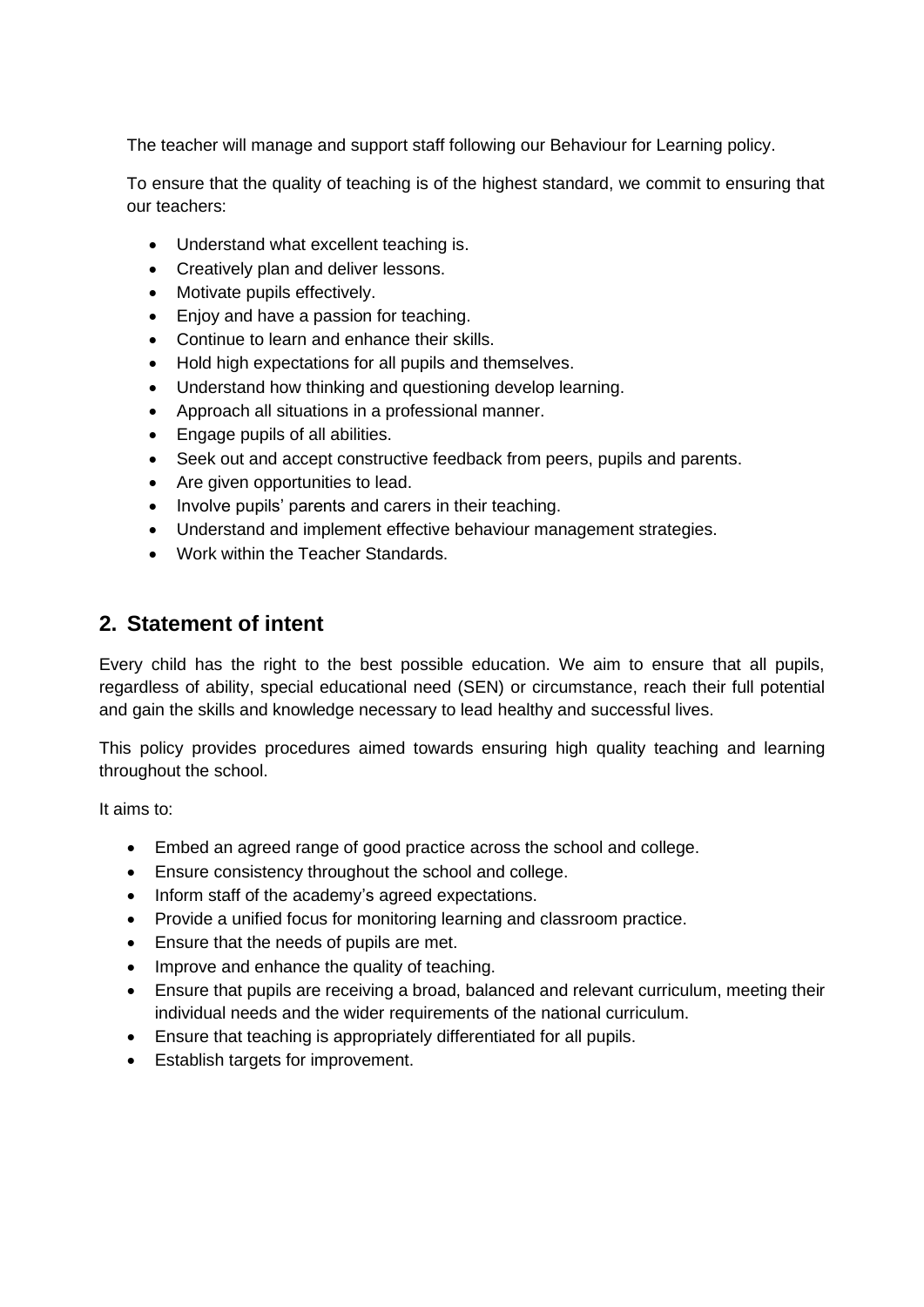The teacher will manage and support staff following our Behaviour for Learning policy.

To ensure that the quality of teaching is of the highest standard, we commit to ensuring that our teachers:

- Understand what excellent teaching is.
- Creatively plan and deliver lessons.
- Motivate pupils effectively.
- Enjoy and have a passion for teaching.
- Continue to learn and enhance their skills.
- Hold high expectations for all pupils and themselves.
- Understand how thinking and questioning develop learning.
- Approach all situations in a professional manner.
- Engage pupils of all abilities.
- Seek out and accept constructive feedback from peers, pupils and parents.
- Are given opportunities to lead.
- Involve pupils' parents and carers in their teaching.
- Understand and implement effective behaviour management strategies.
- Work within the Teacher Standards.

### **2. Statement of intent**

Every child has the right to the best possible education. We aim to ensure that all pupils, regardless of ability, special educational need (SEN) or circumstance, reach their full potential and gain the skills and knowledge necessary to lead healthy and successful lives.

This policy provides procedures aimed towards ensuring high quality teaching and learning throughout the school.

It aims to:

- Embed an agreed range of good practice across the school and college.
- Ensure consistency throughout the school and college.
- Inform staff of the academy's agreed expectations.
- Provide a unified focus for monitoring learning and classroom practice.
- Ensure that the needs of pupils are met.
- Improve and enhance the quality of teaching.
- Ensure that pupils are receiving a broad, balanced and relevant curriculum, meeting their individual needs and the wider requirements of the national curriculum.
- Ensure that teaching is appropriately differentiated for all pupils.
- Establish targets for improvement.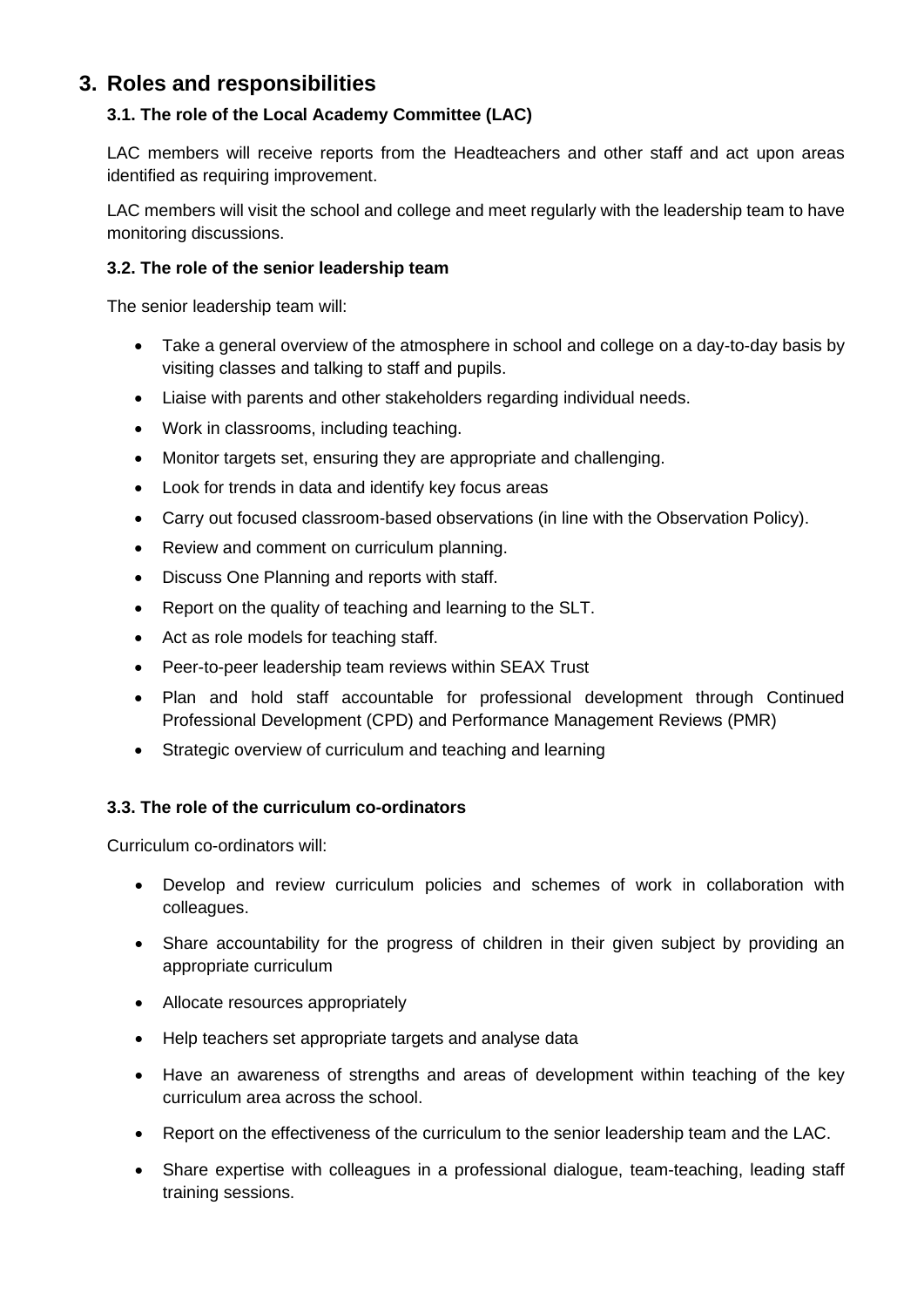#### **3. Roles and responsibilities**

#### **3.1. The role of the Local Academy Committee (LAC)**

LAC members will receive reports from the Headteachers and other staff and act upon areas identified as requiring improvement.

LAC members will visit the school and college and meet regularly with the leadership team to have monitoring discussions.

#### **3.2. The role of the senior leadership team**

The senior leadership team will:

- Take a general overview of the atmosphere in school and college on a day-to-day basis by visiting classes and talking to staff and pupils.
- Liaise with parents and other stakeholders regarding individual needs.
- Work in classrooms, including teaching.
- Monitor targets set, ensuring they are appropriate and challenging.
- Look for trends in data and identify key focus areas
- Carry out focused classroom-based observations (in line with the Observation Policy).
- Review and comment on curriculum planning.
- Discuss One Planning and reports with staff.
- Report on the quality of teaching and learning to the SLT.
- Act as role models for teaching staff.
- Peer-to-peer leadership team reviews within SEAX Trust
- Plan and hold staff accountable for professional development through Continued Professional Development (CPD) and Performance Management Reviews (PMR)
- Strategic overview of curriculum and teaching and learning

#### **3.3. The role of the curriculum co-ordinators**

Curriculum co-ordinators will:

- Develop and review curriculum policies and schemes of work in collaboration with colleagues.
- Share accountability for the progress of children in their given subject by providing an appropriate curriculum
- Allocate resources appropriately
- Help teachers set appropriate targets and analyse data
- Have an awareness of strengths and areas of development within teaching of the key curriculum area across the school.
- Report on the effectiveness of the curriculum to the senior leadership team and the LAC.
- Share expertise with colleagues in a professional dialogue, team-teaching, leading staff training sessions.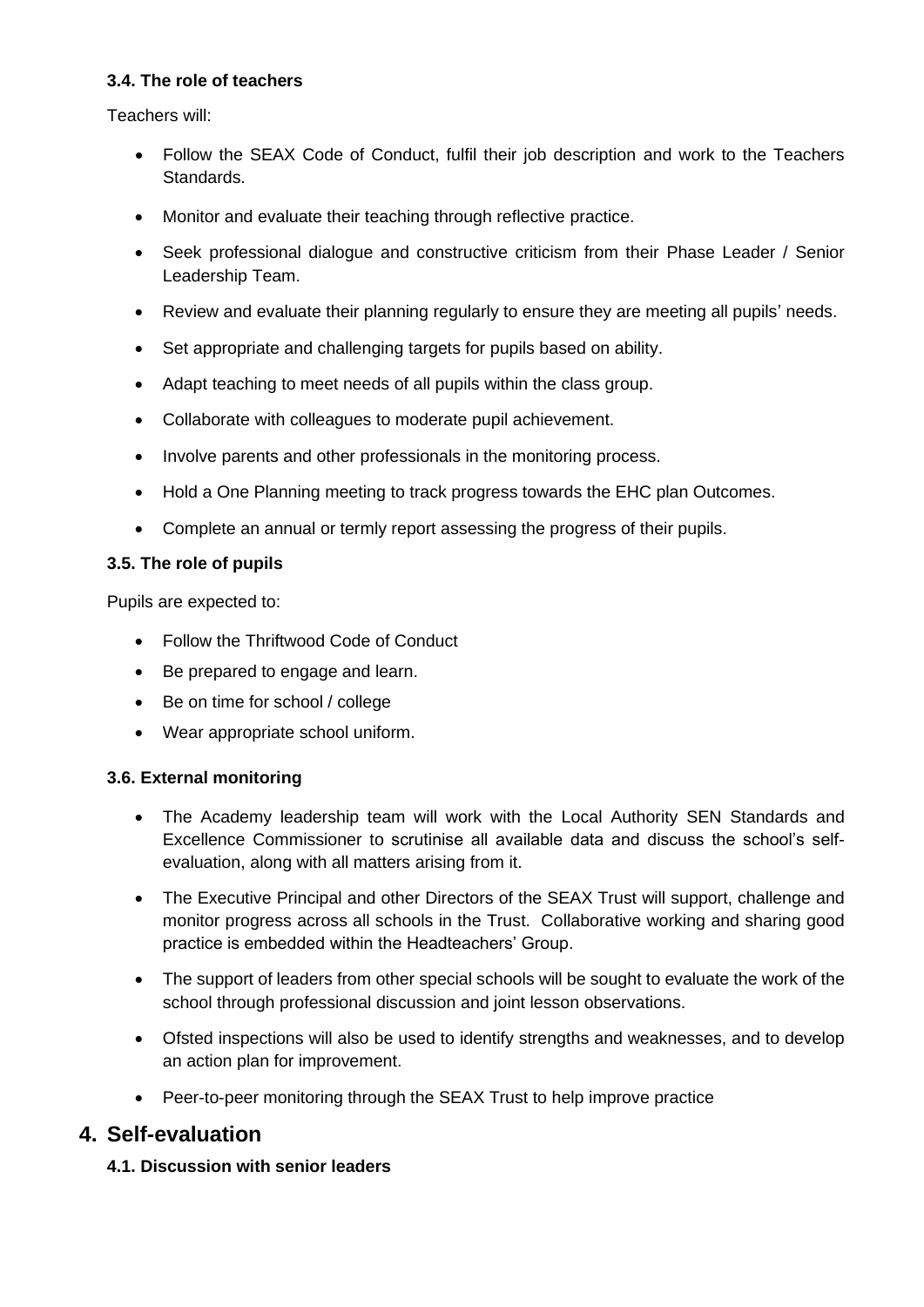#### **3.4. The role of teachers**

Teachers will:

- Follow the SEAX Code of Conduct, fulfil their job description and work to the Teachers Standards.
- Monitor and evaluate their teaching through reflective practice.
- Seek professional dialogue and constructive criticism from their Phase Leader / Senior Leadership Team.
- Review and evaluate their planning regularly to ensure they are meeting all pupils' needs.
- Set appropriate and challenging targets for pupils based on ability.
- Adapt teaching to meet needs of all pupils within the class group.
- Collaborate with colleagues to moderate pupil achievement.
- Involve parents and other professionals in the monitoring process.
- Hold a One Planning meeting to track progress towards the EHC plan Outcomes.
- Complete an annual or termly report assessing the progress of their pupils.

#### **3.5. The role of pupils**

Pupils are expected to:

- Follow the Thriftwood Code of Conduct
- Be prepared to engage and learn.
- Be on time for school / college
- Wear appropriate school uniform.

#### **3.6. External monitoring**

- The Academy leadership team will work with the Local Authority SEN Standards and Excellence Commissioner to scrutinise all available data and discuss the school's selfevaluation, along with all matters arising from it.
- The Executive Principal and other Directors of the SEAX Trust will support, challenge and monitor progress across all schools in the Trust. Collaborative working and sharing good practice is embedded within the Headteachers' Group.
- The support of leaders from other special schools will be sought to evaluate the work of the school through professional discussion and joint lesson observations.
- Ofsted inspections will also be used to identify strengths and weaknesses, and to develop an action plan for improvement.
- Peer-to-peer monitoring through the SEAX Trust to help improve practice

#### **4. Self-evaluation**

#### **4.1. Discussion with senior leaders**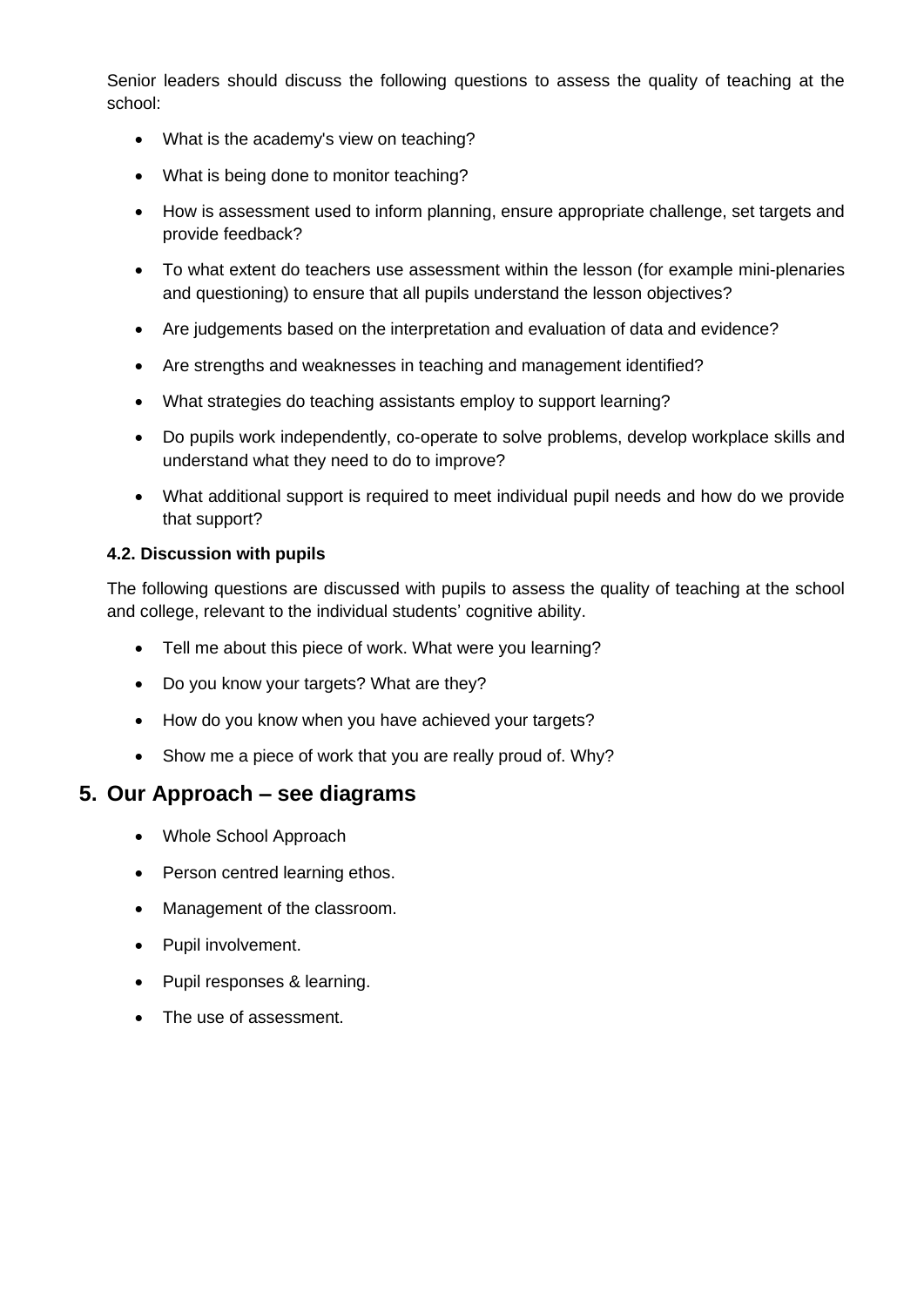Senior leaders should discuss the following questions to assess the quality of teaching at the school:

- What is the academy's view on teaching?
- What is being done to monitor teaching?
- How is assessment used to inform planning, ensure appropriate challenge, set targets and provide feedback?
- To what extent do teachers use assessment within the lesson (for example mini-plenaries and questioning) to ensure that all pupils understand the lesson objectives?
- Are judgements based on the interpretation and evaluation of data and evidence?
- Are strengths and weaknesses in teaching and management identified?
- What strategies do teaching assistants employ to support learning?
- Do pupils work independently, co-operate to solve problems, develop workplace skills and understand what they need to do to improve?
- What additional support is required to meet individual pupil needs and how do we provide that support?

#### **4.2. Discussion with pupils**

The following questions are discussed with pupils to assess the quality of teaching at the school and college, relevant to the individual students' cognitive ability.

- Tell me about this piece of work. What were you learning?
- Do you know your targets? What are they?
- How do you know when you have achieved your targets?
- Show me a piece of work that you are really proud of. Why?

#### **5. Our Approach – see diagrams**

- Whole School Approach
- Person centred learning ethos.
- Management of the classroom.
- Pupil involvement.
- Pupil responses & learning.
- The use of assessment.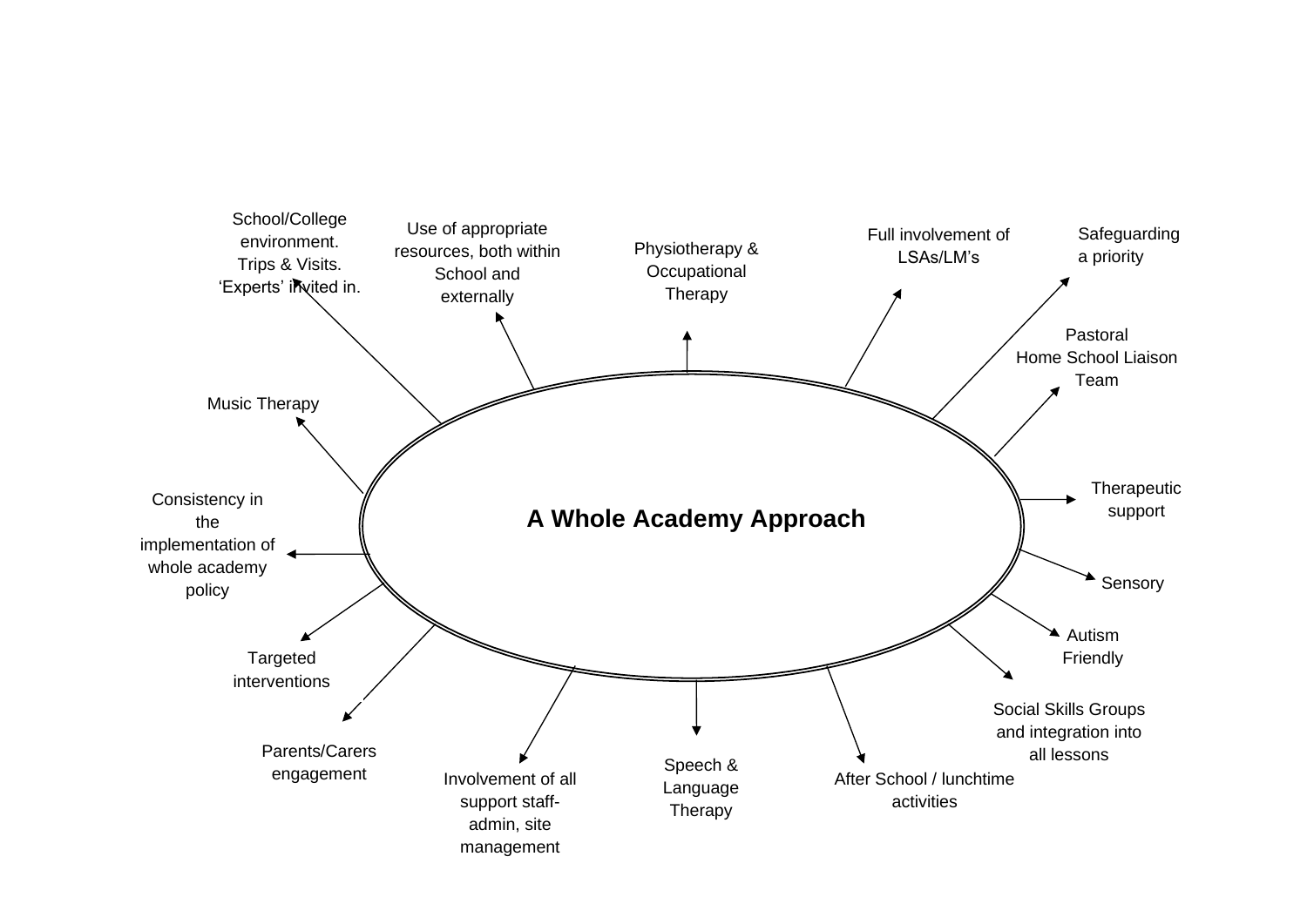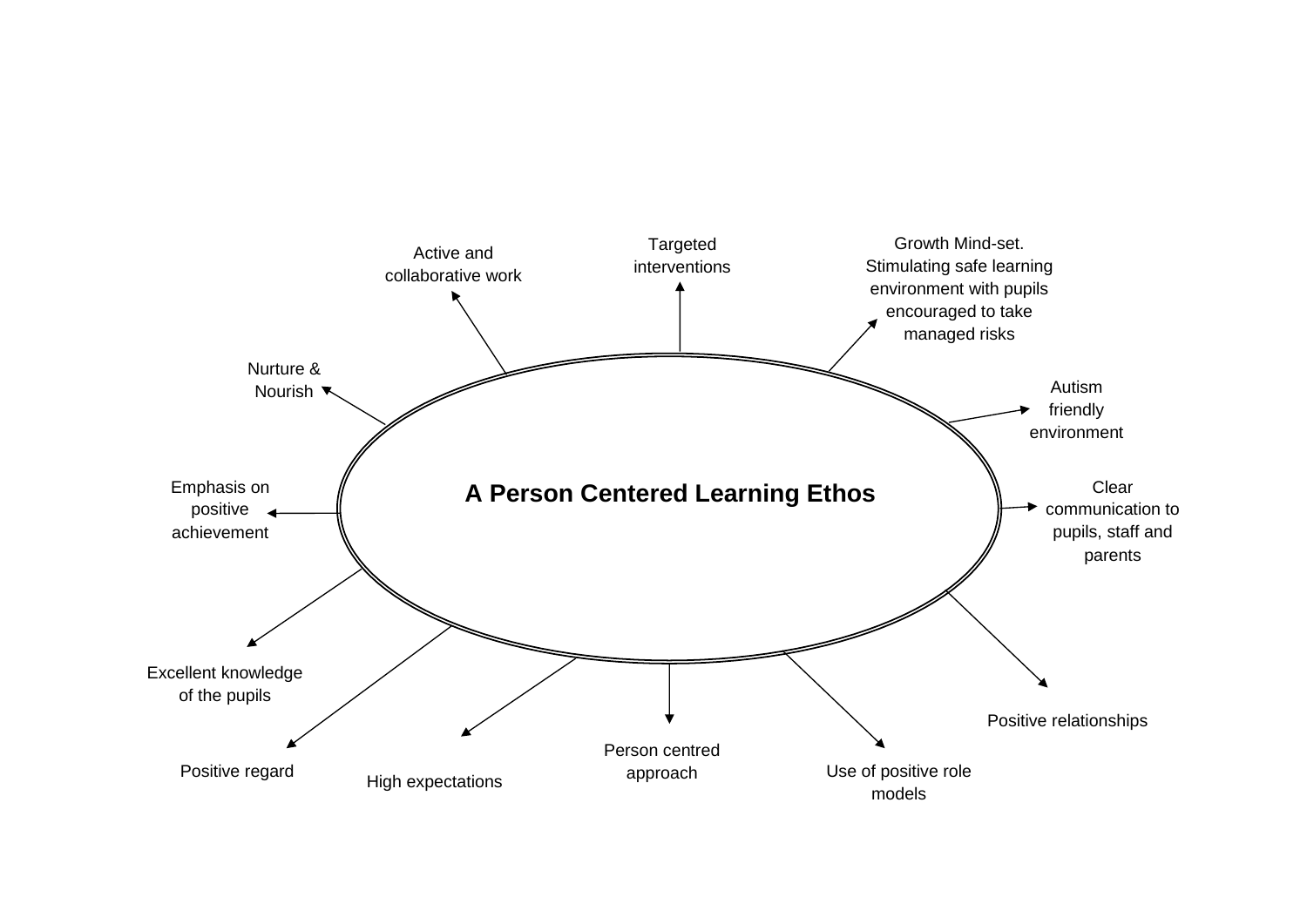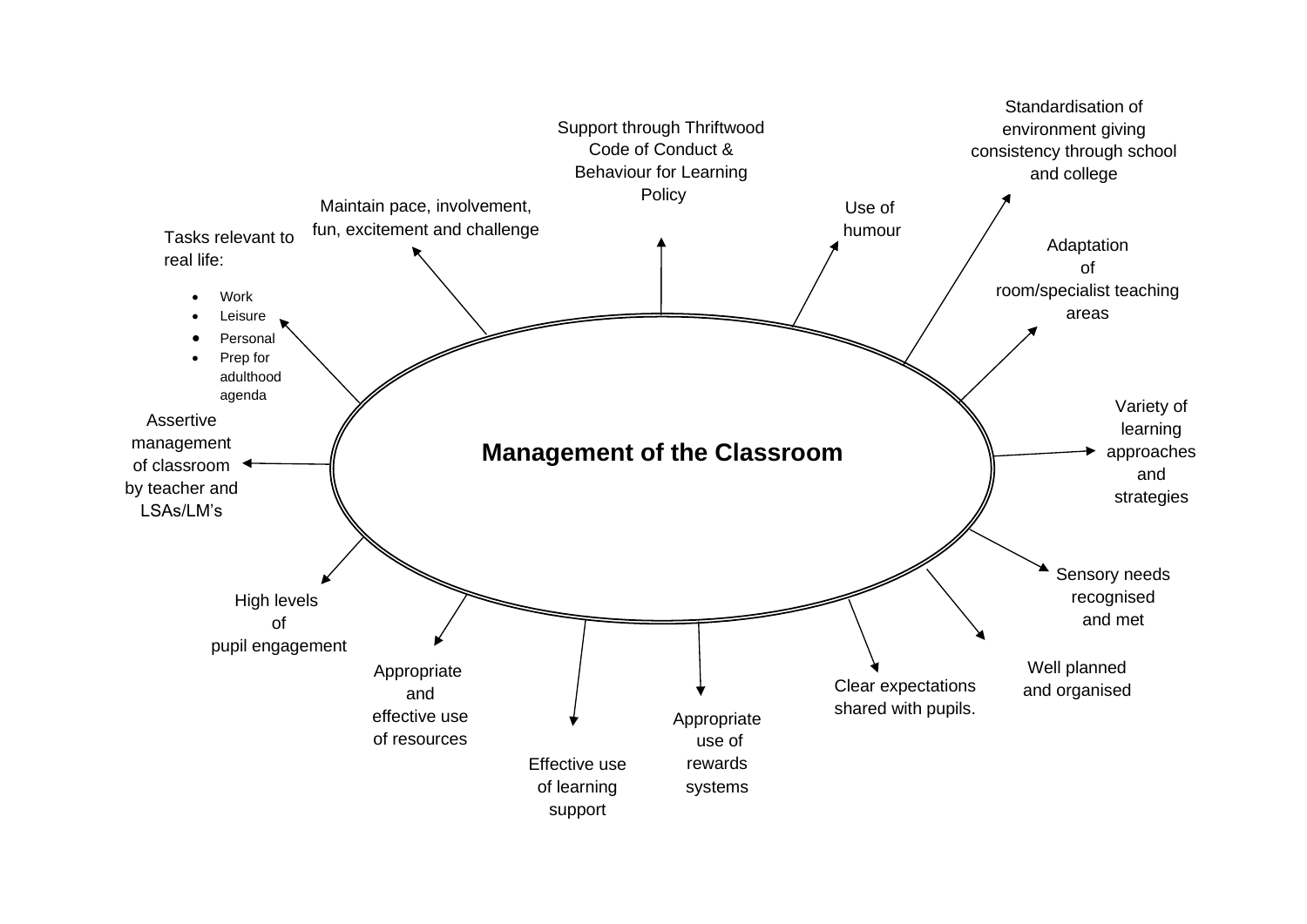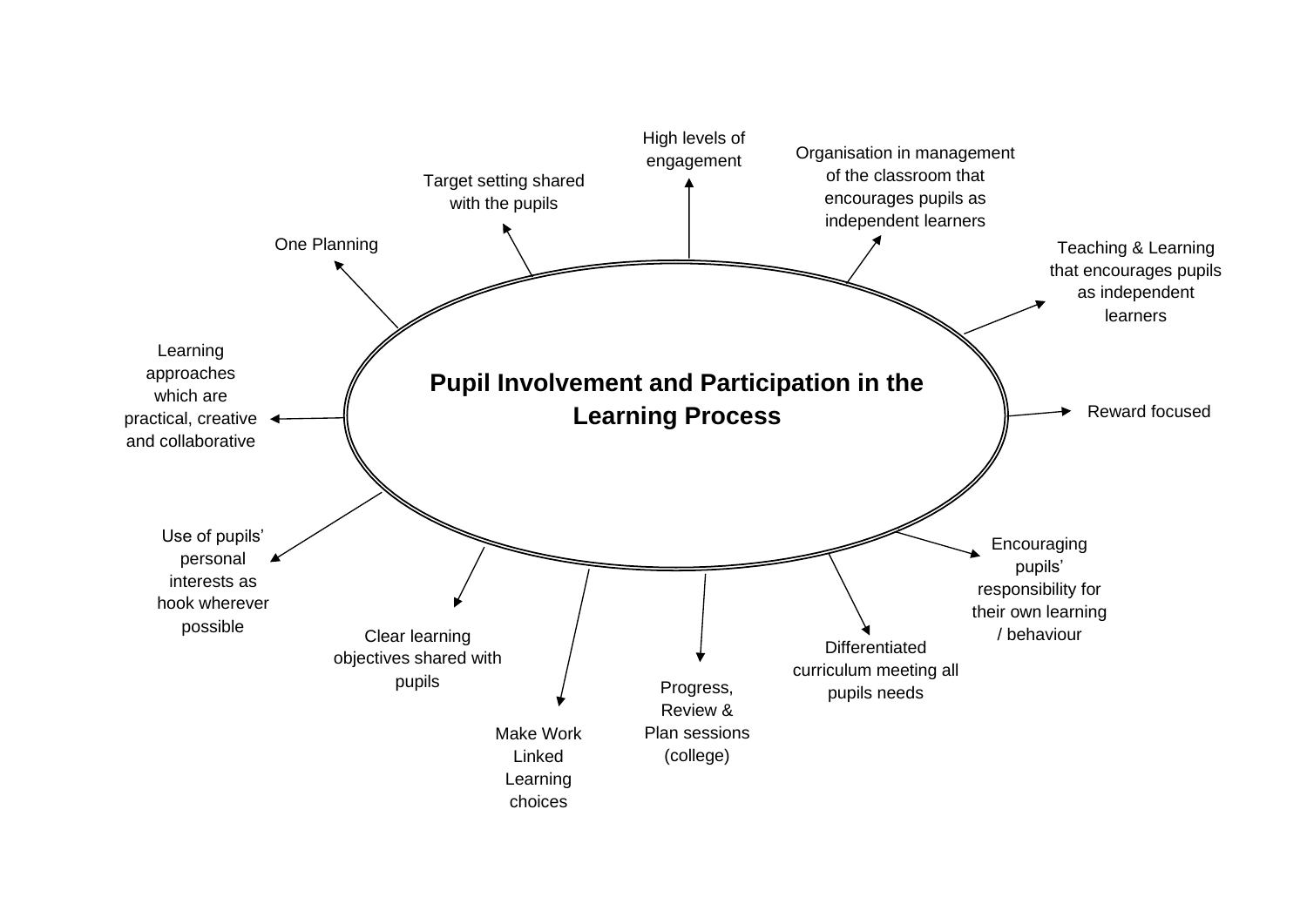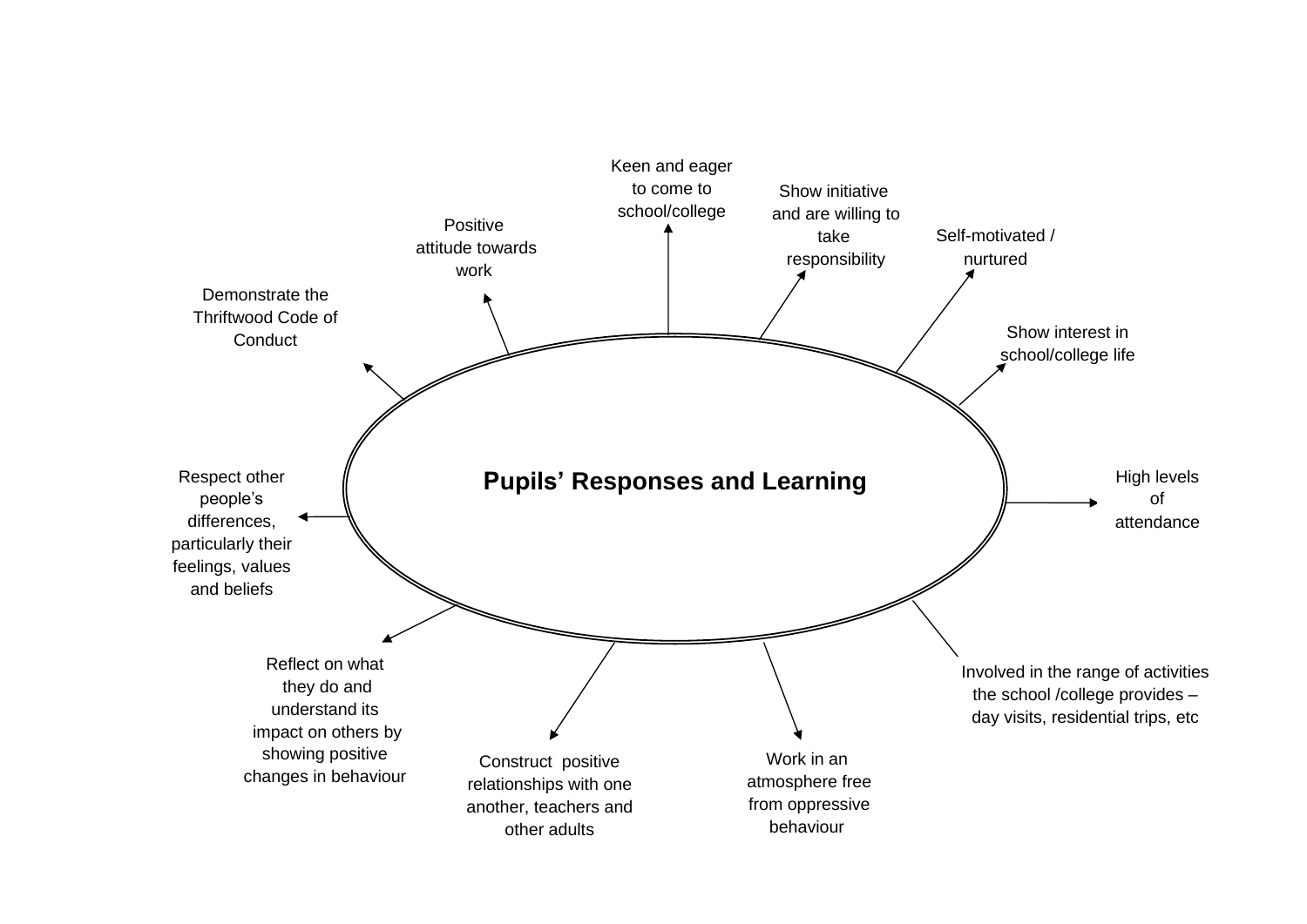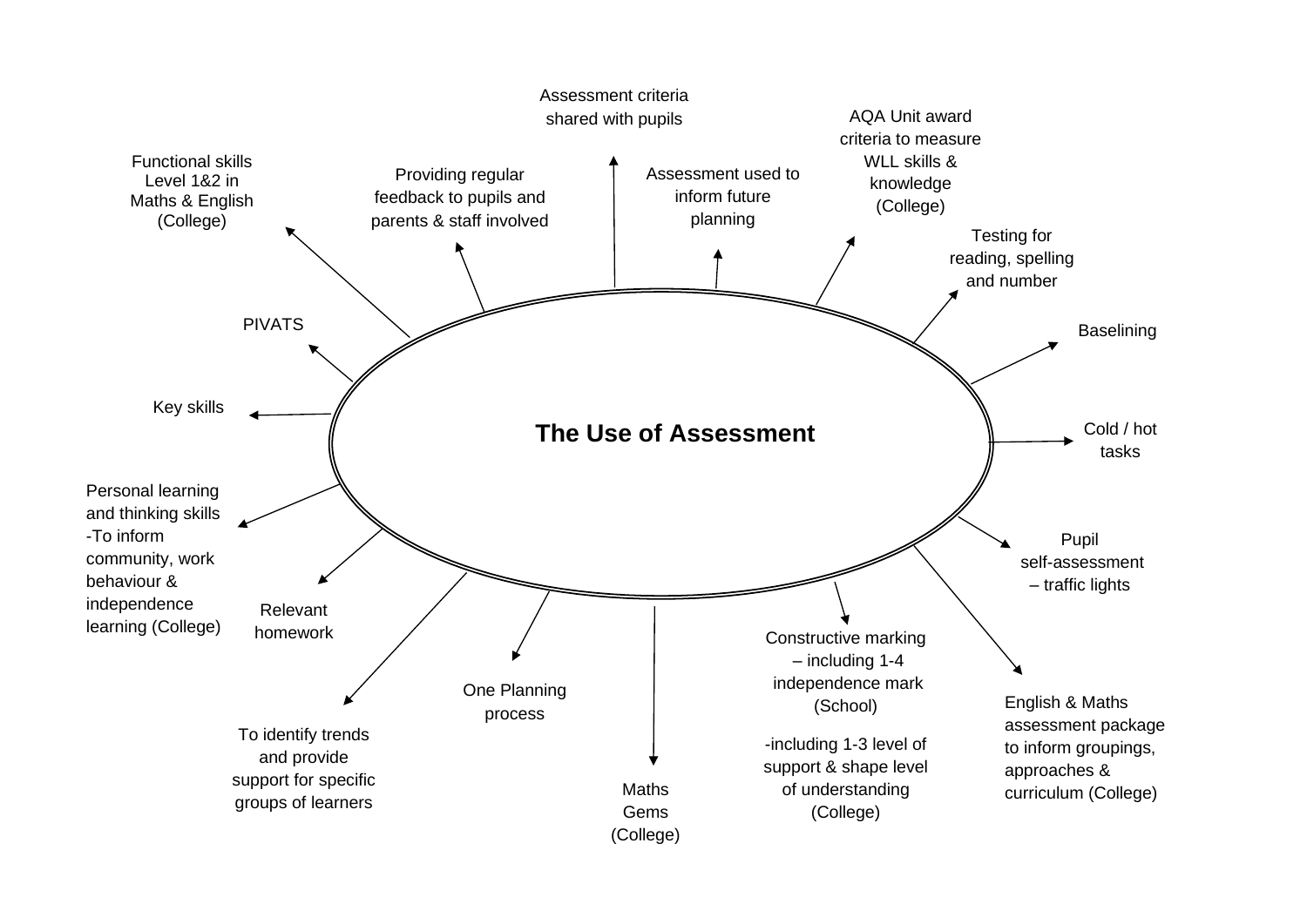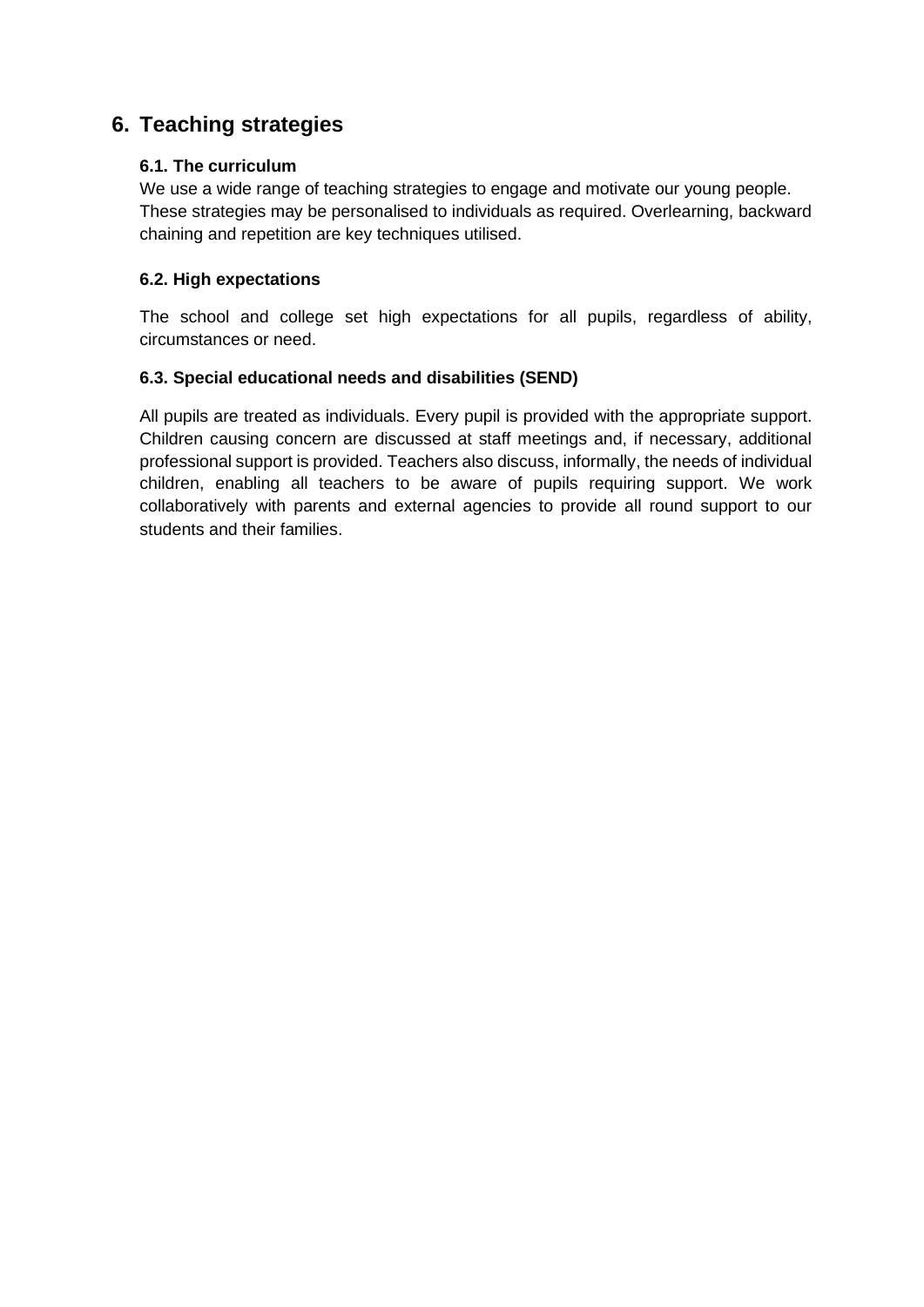#### **6. Teaching strategies**

#### **6.1. The curriculum**

We use a wide range of teaching strategies to engage and motivate our young people. These strategies may be personalised to individuals as required. Overlearning, backward chaining and repetition are key techniques utilised.

#### **6.2. High expectations**

The school and college set high expectations for all pupils, regardless of ability, circumstances or need.

#### **6.3. Special educational needs and disabilities (SEND)**

All pupils are treated as individuals. Every pupil is provided with the appropriate support. Children causing concern are discussed at staff meetings and, if necessary, additional professional support is provided. Teachers also discuss, informally, the needs of individual children, enabling all teachers to be aware of pupils requiring support. We work collaboratively with parents and external agencies to provide all round support to our students and their families.